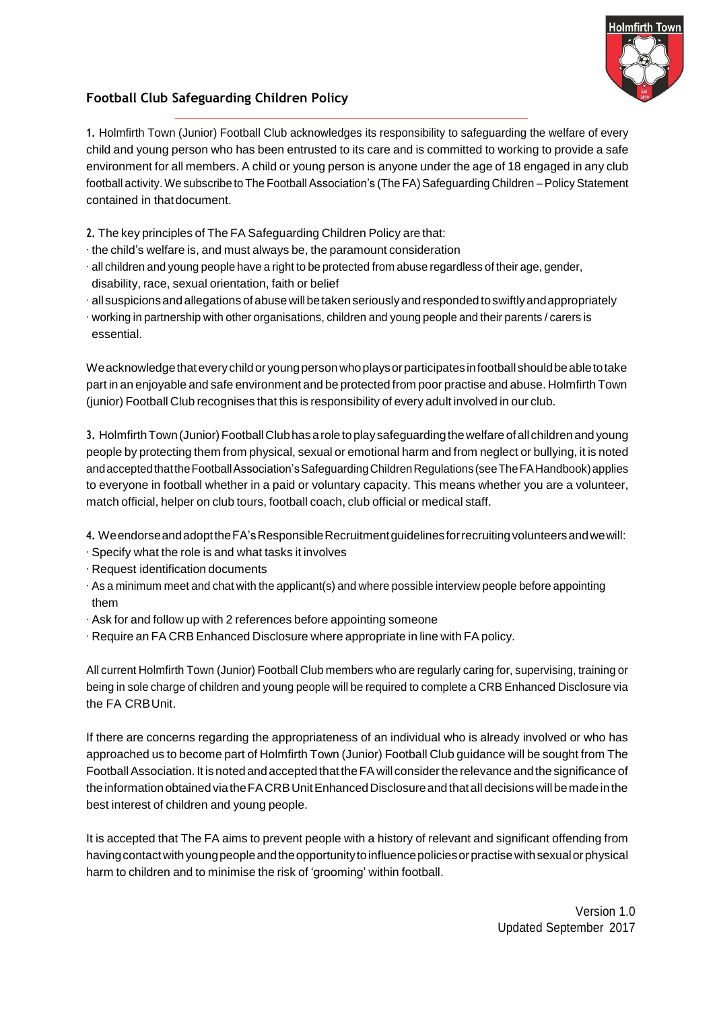

## **Football Club Safeguarding Children Policy**

**1.** Holmfirth Town (Junior) Football Club acknowledges its responsibility to safeguarding the welfare of every child and young person who has been entrusted to its care and is committed to working to provide a safe environment for all members. A child or young person is anyone under the age of 18 engaged in any club football activity. We subscribe to The Football Association's (The FA) Safeguarding Children – Policy Statement contained in thatdocument.

- **2.** The key principles of The FA Safeguarding Children Policy are that:
- ∙ the child's welfare is, and must always be, the paramount consideration
- ∙ all children and young people have a right to be protected from abuse regardless of their age, gender, disability, race, sexual orientation, faith or belief
- ∙ all suspicionsandallegations ofabusewillbetakenseriouslyandrespondedtoswiftlyandappropriately
- ∙ working in partnership with other organisations, children and young people and their parents / carers is essential.

We acknowledge that every child or young person who plays or participates in football should be able to take part in an enjoyable and safe environment and be protected from poor practise and abuse. Holmfirth Town (junior) Football Club recognises that this is responsibility of every adult involved in our club.

**3.** HolmfirthTown(Junior)FootballClubhasaroletoplaysafeguardingthewelfareofall childrenand young people by protecting them from physical, sexual or emotional harm and from neglect or bullying, it is noted and accepted that the Football Association's Safeguarding Children Regulations (see The FA Handbook) applies to everyone in football whether in a paid or voluntary capacity. This means whether you are a volunteer, match official, helper on club tours, football coach, club official or medical staff.

- **4.** WeendorseandadopttheFA'sResponsibleRecruitmentguidelinesforrecruitingvolunteersandwewill:
- ∙ Specify what the role is and what tasks it involves
- ∙ Request identification documents
- ∙ As a minimum meet and chat with the applicant(s) and where possible interview people before appointing them
- ∙ Ask for and follow up with 2 references before appointing someone
- ∙ Require an FA CRB Enhanced Disclosure where appropriate in line with FApolicy.

All current Holmfirth Town (Junior) Football Club members who are regularly caring for, supervising, training or being in sole charge of children and young people will be required to complete a CRB Enhanced Disclosure via the FA CRBUnit.

If there are concerns regarding the appropriateness of an individual who is already involved or who has approached us to become part of Holmfirth Town (Junior) Football Club guidance will be sought from The FootballAssociation. It isnoted andaccepted that theFAwill considerthe relevance and the significance of the information obtained via the FACRB Unit Enhanced Disclosure and that all decisions will be made in the best interest of children and young people.

It is accepted that The FA aims to prevent people with a history of relevant and significant offending from having contact with young people and the opportunity to influence policies or practise with sexual or physical harm to children and to minimise the risk of 'grooming' within football.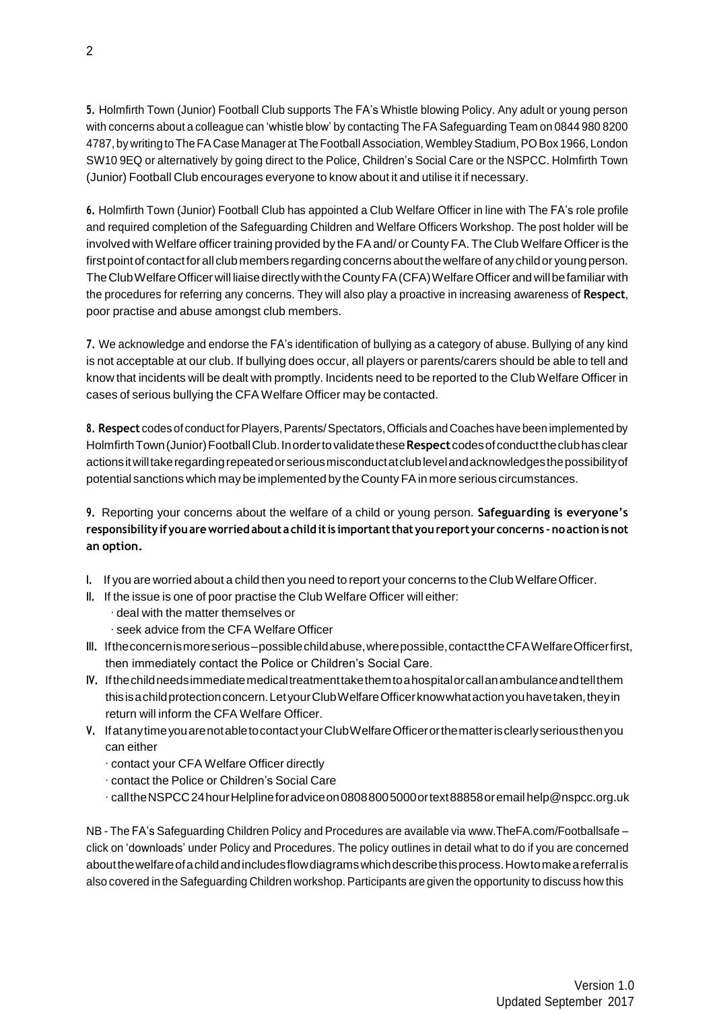**5.** Holmfirth Town (Junior) Football Club supports The FA's Whistle blowing Policy. Any adult or young person with concerns about a colleague can 'whistle blow' by contacting The FA Safeguarding Team on 0844 980 8200 4787, by writing to The FA Case Manager at The Football Association, Wembley Stadium, PO Box 1966, London SW10 9EQ or alternatively by going direct to the Police, Children's Social Care or the NSPCC. Holmfirth Town (Junior) Football Club encourages everyone to know about it and utilise it if necessary.

**6.** Holmfirth Town (Junior) Football Club has appointed a Club Welfare Officer in line with The FA's role profile and required completion of the Safeguarding Children and Welfare Officers Workshop. The post holder will be involved with Welfare officer training provided by the FA and/ or County FA. The Club Welfare Officer is the first point of contact for all club members regarding concerns about the welfare of any child or young person. The Club Welfare Officer will liaise directly with the County FA (CFA) Welfare Officer and will be familiar with the procedures for referring any concerns. They will also play a proactive in increasing awareness of **Respect**, poor practise and abuse amongst club members.

**7.** We acknowledge and endorse the FA's identification of bullying as a category of abuse. Bullying of any kind is not acceptable at our club. If bullying does occur, all players or parents/carers should be able to tell and know that incidents will be dealt with promptly. Incidents need to be reported to the Club Welfare Officer in cases of serious bullying the CFA Welfare Officer may be contacted.

8. Respect codes of conduct for Players, Parents/Spectators, Officials and Coaches have been implemented by HolmfirthTown(Junior)FootballClub.Inordertovalidatethese**Respect**codesofconducttheclubhasclear actionsitwilltakeregardingrepeatedorseriousmisconductatclublevelandacknowledgesthepossibilityof potential sanctions which maybe implemented by the CountyFAin more serious circumstances.

**9.** Reporting your concerns about the welfare of a child or young person. **Safeguarding is everyone's responsibilityif youareworriedabout a childitis importantthatyoureportyour concerns –noactionisnot an option.**

- **I.** If you are worried about a child then you need to report your concerns to the ClubWelfareOfficer.
- **II.** If the issue is one of poor practise the Club Welfare Officer will either:
	- ∙ deal with the matter themselves or
	- ∙ seek advice from the CFA Welfare Officer
- **III.** Iftheconcernismoreserious–possiblechildabuse,wherepossible,contacttheCFAWelfareOfficerfirst, then immediately contact the Police or Children's Social Care.
- **IV.** Ifthechildneedsimmediatemedicaltreatmenttakethemtoahospitalorcallanambulanceandtellthem this is a child protection concern. Let your Club Welfare Officer know what action you have taken, they in return will inform the CFA Welfare Officer.
- **V.** IfatanytimeyouarenotabletocontactyourClubWelfareOfficerorthematterisclearlyseriousthenyou can either
	- ∙ contact your CFA Welfare Officer directly
	- ∙ contact the Police or Children's Social Care
	- ∙ calltheNSPCC24hourHelplineforadviceon08088005000ortext88858oremail [help@nspcc.org.uk](mailto:help@nspcc.org.uk)

NB - The FA's Safeguarding Children Policy and Procedures are available via [www.TheFA.com/Footballsafe](http://www.thefa.com/Footballsafe) – click on 'downloads' under Policy and Procedures. The policy outlines in detail what to do if you are concerned aboutthewelfareofachildandincludesflowdiagramswhichdescribethisprocess.Howtomakeareferralis also covered in the Safeguarding Children workshop. Participants are given the opportunity to discuss how this